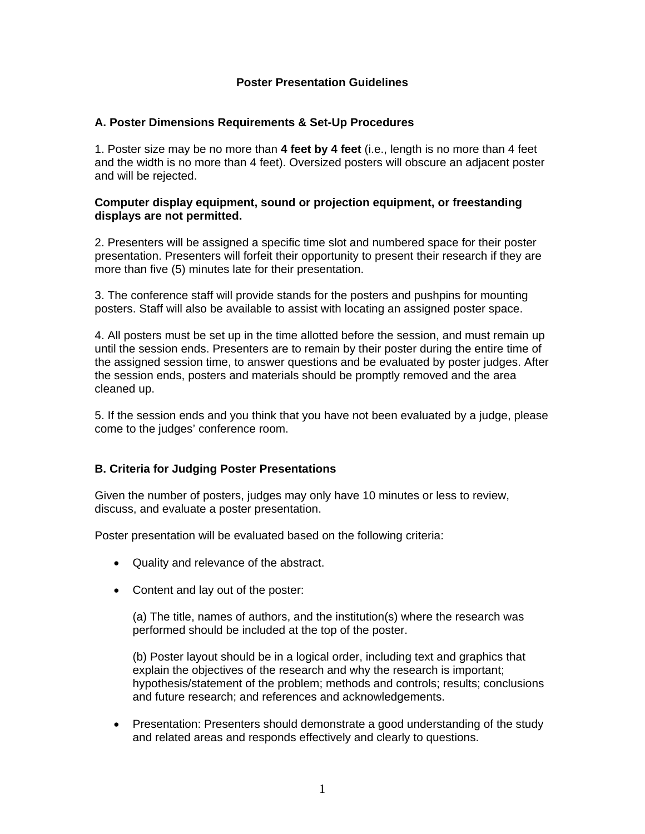## **Poster Presentation Guidelines**

### **A. Poster Dimensions Requirements & Set-Up Procedures**

1. Poster size may be no more than **4 feet by 4 feet** (i.e., length is no more than 4 feet and the width is no more than 4 feet). Oversized posters will obscure an adjacent poster and will be rejected.

#### **Computer display equipment, sound or projection equipment, or freestanding displays are not permitted.**

2. Presenters will be assigned a specific time slot and numbered space for their poster presentation. Presenters will forfeit their opportunity to present their research if they are more than five (5) minutes late for their presentation.

3. The conference staff will provide stands for the posters and pushpins for mounting posters. Staff will also be available to assist with locating an assigned poster space.

4. All posters must be set up in the time allotted before the session, and must remain up until the session ends. Presenters are to remain by their poster during the entire time of the assigned session time, to answer questions and be evaluated by poster judges. After the session ends, posters and materials should be promptly removed and the area cleaned up.

5. If the session ends and you think that you have not been evaluated by a judge, please come to the judges' conference room.

## **B. Criteria for Judging Poster Presentations**

Given the number of posters, judges may only have 10 minutes or less to review, discuss, and evaluate a poster presentation.

Poster presentation will be evaluated based on the following criteria:

- Quality and relevance of the abstract.
- Content and lay out of the poster:

(a) The title, names of authors, and the institution(s) where the research was performed should be included at the top of the poster.

(b) Poster layout should be in a logical order, including text and graphics that explain the objectives of the research and why the research is important; hypothesis/statement of the problem; methods and controls; results; conclusions and future research; and references and acknowledgements.

• Presentation: Presenters should demonstrate a good understanding of the study and related areas and responds effectively and clearly to questions.